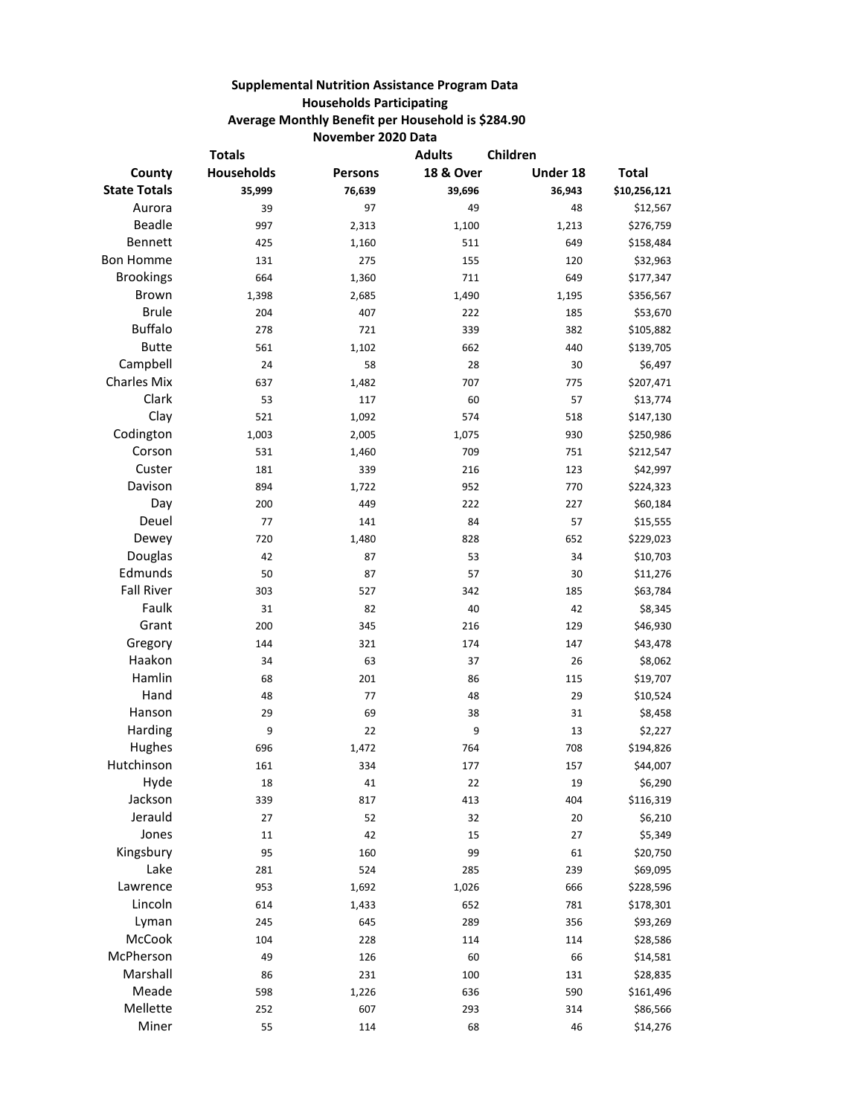## **Supplemental Nutrition Assistance Program Data Households Participating Average Monthly Benefit per Household is \$284.90 November 2020 Data**

| <b>Totals</b>       |            |         | <b>Adults</b>        | Children |              |
|---------------------|------------|---------|----------------------|----------|--------------|
| County              | Households | Persons | <b>18 &amp; Over</b> | Under 18 | <b>Total</b> |
| <b>State Totals</b> | 35,999     | 76,639  | 39,696               | 36,943   | \$10,256,121 |
| Aurora              | 39         | 97      | 49                   | 48       | \$12,567     |
| Beadle              | 997        | 2,313   | 1,100                | 1,213    | \$276,759    |
| Bennett             | 425        | 1,160   | 511                  | 649      | \$158,484    |
| <b>Bon Homme</b>    | 131        | 275     | 155                  | 120      | \$32,963     |
| <b>Brookings</b>    | 664        | 1,360   | 711                  | 649      | \$177,347    |
| Brown               | 1,398      | 2,685   | 1,490                | 1,195    | \$356,567    |
| <b>Brule</b>        | 204        | 407     | 222                  | 185      | \$53,670     |
| <b>Buffalo</b>      | 278        | 721     | 339                  | 382      | \$105,882    |
| <b>Butte</b>        | 561        | 1,102   | 662                  | 440      | \$139,705    |
| Campbell            | 24         | 58      | 28                   | 30       | \$6,497      |
| <b>Charles Mix</b>  | 637        | 1,482   | 707                  | 775      | \$207,471    |
| Clark               | 53         | 117     | 60                   | 57       | \$13,774     |
| Clay                | 521        | 1,092   | 574                  | 518      | \$147,130    |
| Codington           | 1,003      | 2,005   | 1,075                | 930      | \$250,986    |
| Corson              | 531        | 1,460   | 709                  | 751      | \$212,547    |
| Custer              | 181        | 339     | 216                  | 123      | \$42,997     |
| Davison             | 894        | 1,722   | 952                  | 770      | \$224,323    |
| Day                 | 200        | 449     | 222                  | 227      | \$60,184     |
| Deuel               | 77         | 141     | 84                   | 57       | \$15,555     |
| Dewey               | 720        | 1,480   | 828                  | 652      | \$229,023    |
| Douglas             | 42         | 87      | 53                   | 34       | \$10,703     |
| Edmunds             | 50         | 87      | 57                   | 30       | \$11,276     |
| <b>Fall River</b>   | 303        | 527     | 342                  | 185      | \$63,784     |
| Faulk               | 31         | 82      | 40                   | 42       | \$8,345      |
| Grant               | 200        | 345     | 216                  | 129      | \$46,930     |
| Gregory             | 144        | 321     | 174                  | 147      | \$43,478     |
| Haakon              | 34         | 63      | 37                   | 26       | \$8,062      |
| Hamlin              | 68         | 201     | 86                   | 115      | \$19,707     |
| Hand                | 48         | 77      | 48                   | 29       | \$10,524     |
| Hanson              | 29         | 69      | 38                   | 31       | \$8,458      |
| Harding             | 9          | 22      | 9                    | 13       | \$2,227      |
| Hughes              | 696        | 1,472   | 764                  | 708      | \$194,826    |
| Hutchinson          | 161        | 334     | 177                  | 157      | \$44,007     |
| Hyde                | 18         | 41      | 22                   | 19       | \$6,290      |
| Jackson             | 339        | 817     | 413                  | 404      | \$116,319    |
| Jerauld             | 27         | 52      | 32                   | 20       | \$6,210      |
| Jones               | $11\,$     | 42      | 15                   | 27       | \$5,349      |
| Kingsbury           | 95         | 160     | 99                   | 61       | \$20,750     |
| Lake                | 281        | 524     | 285                  | 239      | \$69,095     |
| Lawrence            | 953        | 1,692   | 1,026                | 666      | \$228,596    |
| Lincoln             | 614        | 1,433   | 652                  | 781      | \$178,301    |
| Lyman               | 245        | 645     | 289                  | 356      | \$93,269     |
| McCook              | 104        | 228     | 114                  | 114      | \$28,586     |
| McPherson           | 49         | 126     | 60                   | 66       | \$14,581     |
| Marshall            | 86         | 231     | 100                  | 131      | \$28,835     |
| Meade               | 598        | 1,226   | 636                  | 590      | \$161,496    |
| Mellette            | 252        | 607     | 293                  | 314      | \$86,566     |
| Miner               | 55         | 114     | 68                   | 46       | \$14,276     |
|                     |            |         |                      |          |              |